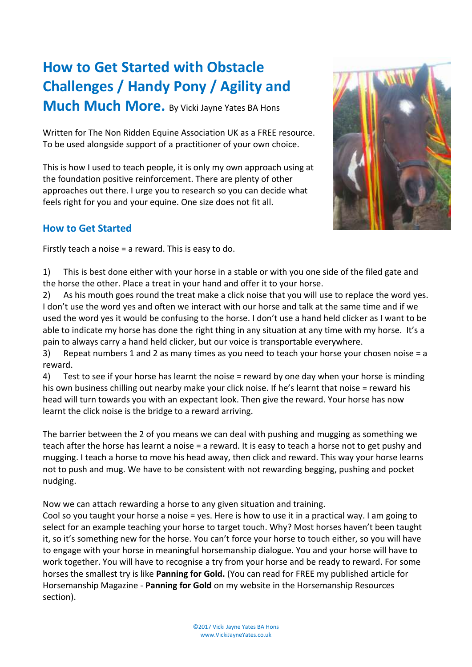# **How to Get Started with Obstacle Challenges / Handy Pony / Agility and**

**Much Much More.** By Vicki Jayne Yates BA Hons

Written for The Non Ridden Equine Association UK as a FREE resource. To be used alongside support of a practitioner of your own choice.

This is how I used to teach people, it is only my own approach using at the foundation positive reinforcement. There are plenty of other approaches out there. I urge you to research so you can decide what feels right for you and your equine. One size does not fit all.

#### **How to Get Started**

Firstly teach a noise = a reward. This is easy to do.

1) This is best done either with your horse in a stable or with you one side of the filed gate and the horse the other. Place a treat in your hand and offer it to your horse.

2) As his mouth goes round the treat make a click noise that you will use to replace the word yes. I don't use the word yes and often we interact with our horse and talk at the same time and if we used the word yes it would be confusing to the horse. I don't use a hand held clicker as I want to be able to indicate my horse has done the right thing in any situation at any time with my horse. It's a pain to always carry a hand held clicker, but our voice is transportable everywhere.

3) Repeat numbers 1 and 2 as many times as you need to teach your horse your chosen noise = a reward.

4) Test to see if your horse has learnt the noise = reward by one day when your horse is minding his own business chilling out nearby make your click noise. If he's learnt that noise = reward his head will turn towards you with an expectant look. Then give the reward. Your horse has now learnt the click noise is the bridge to a reward arriving.

The barrier between the 2 of you means we can deal with pushing and mugging as something we teach after the horse has learnt a noise = a reward. It is easy to teach a horse not to get pushy and mugging. I teach a horse to move his head away, then click and reward. This way your horse learns not to push and mug. We have to be consistent with not rewarding begging, pushing and pocket nudging.

Now we can attach rewarding a horse to any given situation and training.

Cool so you taught your horse a noise = yes. Here is how to use it in a practical way. I am going to select for an example teaching your horse to target touch. Why? Most horses haven't been taught it, so it's something new for the horse. You can't force your horse to touch either, so you will have to engage with your horse in meaningful horsemanship dialogue. You and your horse will have to work together. You will have to recognise a try from your horse and be ready to reward. For some horses the smallest try is like **Panning for Gold.** (You can read for FREE my published article for Horsemanship Magazine - **Panning for Gold** on my website in the Horsemanship Resources section).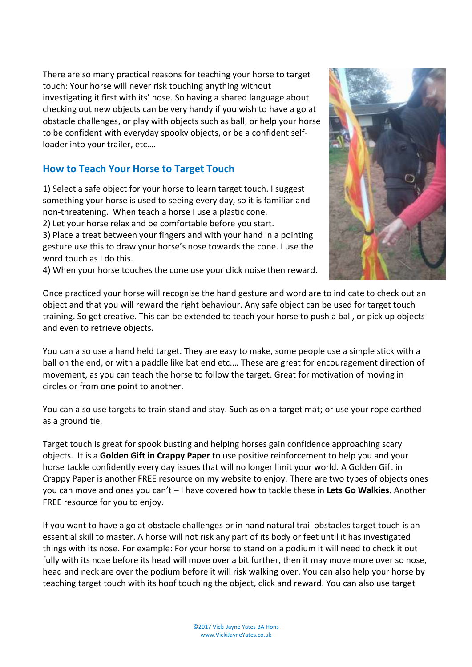There are so many practical reasons for teaching your horse to target touch: Your horse will never risk touching anything without investigating it first with its' nose. So having a shared language about checking out new objects can be very handy if you wish to have a go at obstacle challenges, or play with objects such as ball, or help your horse to be confident with everyday spooky objects, or be a confident selfloader into your trailer, etc….

#### **How to Teach Your Horse to Target Touch**

1) Select a safe object for your horse to learn target touch. I suggest something your horse is used to seeing every day, so it is familiar and non-threatening. When teach a horse I use a plastic cone. 2) Let your horse relax and be comfortable before you start. 3) Place a treat between your fingers and with your hand in a pointing gesture use this to draw your horse's nose towards the cone. I use the word touch as I do this.

4) When your horse touches the cone use your click noise then reward.

Once practiced your horse will recognise the hand gesture and word are to indicate to check out an object and that you will reward the right behaviour. Any safe object can be used for target touch training. So get creative. This can be extended to teach your horse to push a ball, or pick up objects and even to retrieve objects.

You can also use a hand held target. They are easy to make, some people use a simple stick with a ball on the end, or with a paddle like bat end etc.… These are great for encouragement direction of movement, as you can teach the horse to follow the target. Great for motivation of moving in circles or from one point to another.

You can also use targets to train stand and stay. Such as on a target mat; or use your rope earthed as a ground tie.

Target touch is great for spook busting and helping horses gain confidence approaching scary objects. It is a **Golden Gift in Crappy Paper** to use positive reinforcement to help you and your horse tackle confidently every day issues that will no longer limit your world. A Golden Gift in Crappy Paper is another FREE resource on my website to enjoy. There are two types of objects ones you can move and ones you can't – I have covered how to tackle these in **Lets Go Walkies.** Another FREE resource for you to enjoy.

If you want to have a go at obstacle challenges or in hand natural trail obstacles target touch is an essential skill to master. A horse will not risk any part of its body or feet until it has investigated things with its nose. For example: For your horse to stand on a podium it will need to check it out fully with its nose before its head will move over a bit further, then it may move more over so nose, head and neck are over the podium before it will risk walking over. You can also help your horse by teaching target touch with its hoof touching the object, click and reward. You can also use target

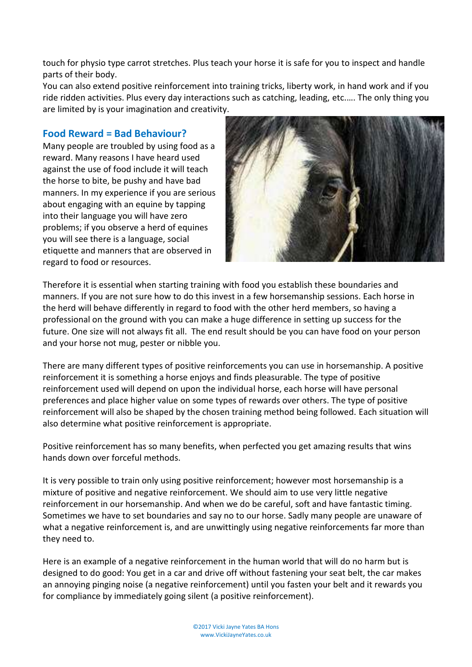touch for physio type carrot stretches. Plus teach your horse it is safe for you to inspect and handle parts of their body.

You can also extend positive reinforcement into training tricks, liberty work, in hand work and if you ride ridden activities. Plus every day interactions such as catching, leading, etc.…. The only thing you are limited by is your imagination and creativity.

#### **Food Reward = Bad Behaviour?**

Many people are troubled by using food as a reward. Many reasons I have heard used against the use of food include it will teach the horse to bite, be pushy and have bad manners. In my experience if you are serious about engaging with an equine by tapping into their language you will have zero problems; if you observe a herd of equines you will see there is a language, social etiquette and manners that are observed in regard to food or resources.



Therefore it is essential when starting training with food you establish these boundaries and manners. If you are not sure how to do this invest in a few horsemanship sessions. Each horse in the herd will behave differently in regard to food with the other herd members, so having a professional on the ground with you can make a huge difference in setting up success for the future. One size will not always fit all. The end result should be you can have food on your person and your horse not mug, pester or nibble you.

There are many different types of positive reinforcements you can use in horsemanship. A positive reinforcement it is something a horse enjoys and finds pleasurable. The type of positive reinforcement used will depend on upon the individual horse, each horse will have personal preferences and place higher value on some types of rewards over others. The type of positive reinforcement will also be shaped by the chosen training method being followed. Each situation will also determine what positive reinforcement is appropriate.

Positive reinforcement has so many benefits, when perfected you get amazing results that wins hands down over forceful methods.

It is very possible to train only using positive reinforcement; however most horsemanship is a mixture of positive and negative reinforcement. We should aim to use very little negative reinforcement in our horsemanship. And when we do be careful, soft and have fantastic timing. Sometimes we have to set boundaries and say no to our horse. Sadly many people are unaware of what a negative reinforcement is, and are unwittingly using negative reinforcements far more than they need to.

Here is an example of a negative reinforcement in the human world that will do no harm but is designed to do good: You get in a car and drive off without fastening your seat belt, the car makes an annoying pinging noise (a negative reinforcement) until you fasten your belt and it rewards you for compliance by immediately going silent (a positive reinforcement).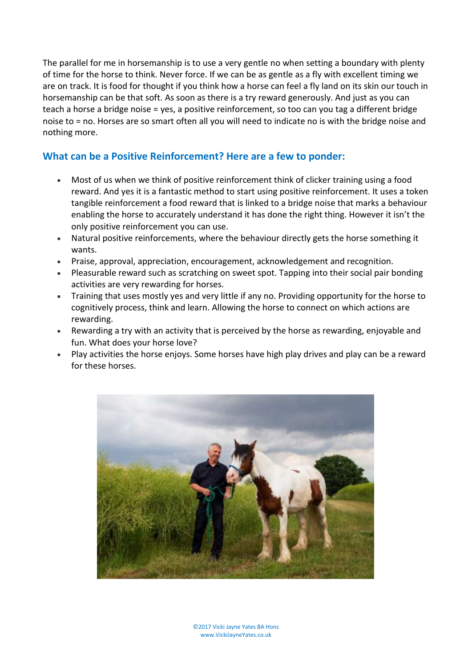The parallel for me in horsemanship is to use a very gentle no when setting a boundary with plenty of time for the horse to think. Never force. If we can be as gentle as a fly with excellent timing we are on track. It is food for thought if you think how a horse can feel a fly land on its skin our touch in horsemanship can be that soft. As soon as there is a try reward generously. And just as you can teach a horse a bridge noise = yes, a positive reinforcement, so too can you tag a different bridge noise to = no. Horses are so smart often all you will need to indicate no is with the bridge noise and nothing more.

## **What can be a Positive Reinforcement? Here are a few to ponder:**

- Most of us when we think of positive reinforcement think of clicker training using a food reward. And yes it is a fantastic method to start using positive reinforcement. It uses a token tangible reinforcement a food reward that is linked to a bridge noise that marks a behaviour enabling the horse to accurately understand it has done the right thing. However it isn't the only positive reinforcement you can use.
- Natural positive reinforcements, where the behaviour directly gets the horse something it wants.
- Praise, approval, appreciation, encouragement, acknowledgement and recognition.
- Pleasurable reward such as scratching on sweet spot. Tapping into their social pair bonding activities are very rewarding for horses.
- Training that uses mostly yes and very little if any no. Providing opportunity for the horse to cognitively process, think and learn. Allowing the horse to connect on which actions are rewarding.
- Rewarding a try with an activity that is perceived by the horse as rewarding, enjoyable and fun. What does your horse love?
- Play activities the horse enjoys. Some horses have high play drives and play can be a reward for these horses.

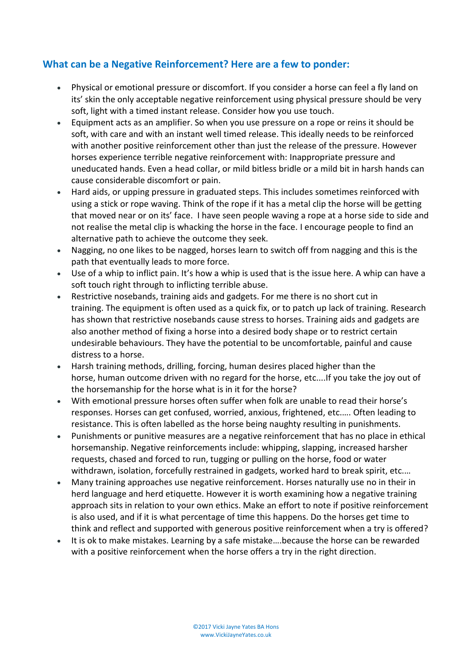# **What can be a Negative Reinforcement? Here are a few to ponder:**

- Physical or emotional pressure or discomfort. If you consider a horse can feel a fly land on its' skin the only acceptable negative reinforcement using physical pressure should be very soft, light with a timed instant release. Consider how you use touch.
- Equipment acts as an amplifier. So when you use pressure on a rope or reins it should be soft, with care and with an instant well timed release. This ideally needs to be reinforced with another positive reinforcement other than just the release of the pressure. However horses experience terrible negative reinforcement with: Inappropriate pressure and uneducated hands. Even a head collar, or mild bitless bridle or a mild bit in harsh hands can cause considerable discomfort or pain.
- Hard aids, or upping pressure in graduated steps. This includes sometimes reinforced with using a stick or rope waving. Think of the rope if it has a metal clip the horse will be getting that moved near or on its' face. I have seen people waving a rope at a horse side to side and not realise the metal clip is whacking the horse in the face. I encourage people to find an alternative path to achieve the outcome they seek.
- Nagging, no one likes to be nagged, horses learn to switch off from nagging and this is the path that eventually leads to more force.
- Use of a whip to inflict pain. It's how a whip is used that is the issue here. A whip can have a soft touch right through to inflicting terrible abuse.
- Restrictive nosebands, training aids and gadgets. For me there is no short cut in training. The equipment is often used as a quick fix, or to patch up lack of training. Research has shown that restrictive nosebands cause stress to horses. Training aids and gadgets are also another method of fixing a horse into a desired body shape or to restrict certain undesirable behaviours. They have the potential to be uncomfortable, painful and cause distress to a horse.
- Harsh training methods, drilling, forcing, human desires placed higher than the horse, human outcome driven with no regard for the horse, etc....If you take the joy out of the horsemanship for the horse what is in it for the horse?
- With emotional pressure horses often suffer when folk are unable to read their horse's responses. Horses can get confused, worried, anxious, frightened, etc.…. Often leading to resistance. This is often labelled as the horse being naughty resulting in punishments.
- Punishments or punitive measures are a negative reinforcement that has no place in ethical horsemanship. Negative reinforcements include: whipping, slapping, increased harsher requests, chased and forced to run, tugging or pulling on the horse, food or water withdrawn, isolation, forcefully restrained in gadgets, worked hard to break spirit, etc.…
- Many training approaches use negative reinforcement. Horses naturally use no in their in herd language and herd etiquette. However it is worth examining how a negative training approach sits in relation to your own ethics. Make an effort to note if positive reinforcement is also used, and if it is what percentage of time this happens. Do the horses get time to think and reflect and supported with generous positive reinforcement when a try is offered?
- It is ok to make mistakes. Learning by a safe mistake….because the horse can be rewarded with a positive reinforcement when the horse offers a try in the right direction.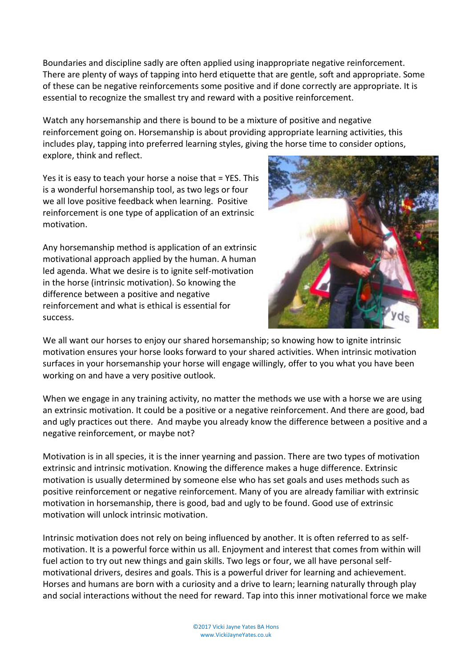Boundaries and discipline sadly are often applied using inappropriate negative reinforcement. There are plenty of ways of tapping into herd etiquette that are gentle, soft and appropriate. Some of these can be negative reinforcements some positive and if done correctly are appropriate. It is essential to recognize the smallest try and reward with a positive reinforcement.

Watch any horsemanship and there is bound to be a mixture of positive and negative reinforcement going on. Horsemanship is about providing appropriate learning activities, this includes play, tapping into preferred learning styles, giving the horse time to consider options, explore, think and reflect.

Yes it is easy to teach your horse a noise that = YES. This is a wonderful horsemanship tool, as two legs or four we all love positive feedback when learning. Positive reinforcement is one type of application of an extrinsic motivation.

Any horsemanship method is application of an extrinsic motivational approach applied by the human. A human led agenda. What we desire is to ignite self-motivation in the horse (intrinsic motivation). So knowing the difference between a positive and negative reinforcement and what is ethical is essential for success.



We all want our horses to enjoy our shared horsemanship; so knowing how to ignite intrinsic motivation ensures your horse looks forward to your shared activities. When intrinsic motivation surfaces in your horsemanship your horse will engage willingly, offer to you what you have been working on and have a very positive outlook.

When we engage in any training activity, no matter the methods we use with a horse we are using an extrinsic motivation. It could be a positive or a negative reinforcement. And there are good, bad and ugly practices out there. And maybe you already know the difference between a positive and a negative reinforcement, or maybe not?

Motivation is in all species, it is the inner yearning and passion. There are two types of motivation extrinsic and intrinsic motivation. Knowing the difference makes a huge difference. Extrinsic motivation is usually determined by someone else who has set goals and uses methods such as positive reinforcement or negative reinforcement. Many of you are already familiar with extrinsic motivation in horsemanship, there is good, bad and ugly to be found. Good use of extrinsic motivation will unlock intrinsic motivation.

Intrinsic motivation does not rely on being influenced by another. It is often referred to as selfmotivation. It is a powerful force within us all. Enjoyment and interest that comes from within will fuel action to try out new things and gain skills. Two legs or four, we all have personal selfmotivational drivers, desires and goals. This is a powerful driver for learning and achievement. Horses and humans are born with a curiosity and a drive to learn; learning naturally through play and social interactions without the need for reward. Tap into this inner motivational force we make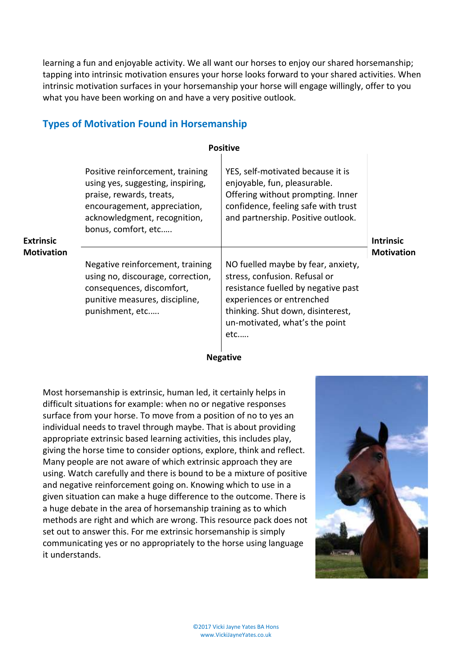learning a fun and enjoyable activity. We all want our horses to enjoy our shared horsemanship; tapping into intrinsic motivation ensures your horse looks forward to your shared activities. When intrinsic motivation surfaces in your horsemanship your horse will engage willingly, offer to you what you have been working on and have a very positive outlook.

#### **Types of Motivation Found in Horsemanship**

| <b>Positive</b>                |                                                                                                                                                                                          |                                                                                                                                                                                                                          |                                       |
|--------------------------------|------------------------------------------------------------------------------------------------------------------------------------------------------------------------------------------|--------------------------------------------------------------------------------------------------------------------------------------------------------------------------------------------------------------------------|---------------------------------------|
| <b>Extrinsic</b><br>Motivation | Positive reinforcement, training<br>using yes, suggesting, inspiring,<br>praise, rewards, treats,<br>encouragement, appreciation,<br>acknowledgment, recognition,<br>bonus, comfort, etc | YES, self-motivated because it is<br>enjoyable, fun, pleasurable.<br>Offering without prompting. Inner<br>confidence, feeling safe with trust<br>and partnership. Positive outlook.                                      | <b>Intrinsic</b><br><b>Motivation</b> |
|                                | Negative reinforcement, training<br>using no, discourage, correction,<br>consequences, discomfort,<br>punitive measures, discipline,<br>punishment, etc                                  | NO fuelled maybe by fear, anxiety,<br>stress, confusion. Refusal or<br>resistance fuelled by negative past<br>experiences or entrenched<br>thinking. Shut down, disinterest,<br>un-motivated, what's the point<br>$etc.$ |                                       |

#### **Negative**

Most horsemanship is extrinsic, human led, it certainly helps in difficult situations for example: when no or negative responses surface from your horse. To move from a position of no to yes an individual needs to travel through maybe. That is about providing appropriate extrinsic based learning activities, this includes play, giving the horse time to consider options, explore, think and reflect. Many people are not aware of which extrinsic approach they are using. Watch carefully and there is bound to be a mixture of positive and negative reinforcement going on. Knowing which to use in a given situation can make a huge difference to the outcome. There is a huge debate in the area of horsemanship training as to which methods are right and which are wrong. This resource pack does not set out to answer this. For me extrinsic horsemanship is simply communicating yes or no appropriately to the horse using language it understands.

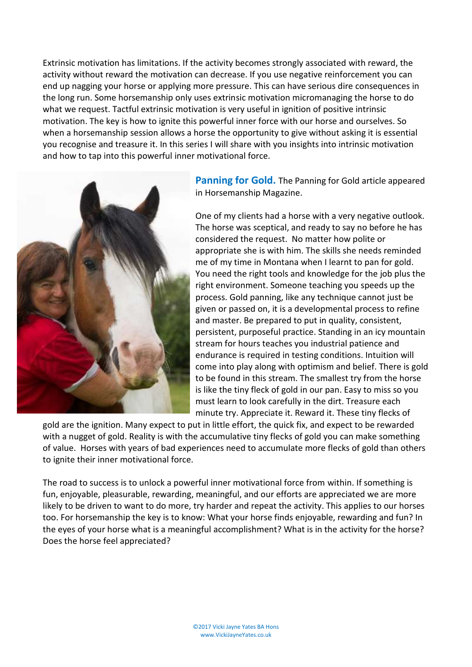Extrinsic motivation has limitations. If the activity becomes strongly associated with reward, the activity without reward the motivation can decrease. If you use negative reinforcement you can end up nagging your horse or applying more pressure. This can have serious dire consequences in the long run. Some horsemanship only uses extrinsic motivation micromanaging the horse to do what we request. Tactful extrinsic motivation is very useful in ignition of positive intrinsic motivation. The key is how to ignite this powerful inner force with our horse and ourselves. So when a horsemanship session allows a horse the opportunity to give without asking it is essential you recognise and treasure it. In this series I will share with you insights into intrinsic motivation and how to tap into this powerful inner motivational force.



**Panning for Gold.** The Panning for Gold article appeared in Horsemanship Magazine.

One of my clients had a horse with a very negative outlook. The horse was sceptical, and ready to say no before he has considered the request. No matter how polite or appropriate she is with him. The skills she needs reminded me of my time in Montana when I learnt to pan for gold. You need the right tools and knowledge for the job plus the right environment. Someone teaching you speeds up the process. Gold panning, like any technique cannot just be given or passed on, it is a developmental process to refine and master. Be prepared to put in quality, consistent, persistent, purposeful practice. Standing in an icy mountain stream for hours teaches you industrial patience and endurance is required in testing conditions. Intuition will come into play along with optimism and belief. There is gold to be found in this stream. The smallest try from the horse is like the tiny fleck of gold in our pan. Easy to miss so you must learn to look carefully in the dirt. Treasure each minute try. Appreciate it. Reward it. These tiny flecks of

gold are the ignition. Many expect to put in little effort, the quick fix, and expect to be rewarded with a nugget of gold. Reality is with the accumulative tiny flecks of gold you can make something of value. Horses with years of bad experiences need to accumulate more flecks of gold than others to ignite their inner motivational force.

The road to success is to unlock a powerful inner motivational force from within. If something is fun, enjoyable, pleasurable, rewarding, meaningful, and our efforts are appreciated we are more likely to be driven to want to do more, try harder and repeat the activity. This applies to our horses too. For horsemanship the key is to know: What your horse finds enjoyable, rewarding and fun? In the eyes of your horse what is a meaningful accomplishment? What is in the activity for the horse? Does the horse feel appreciated?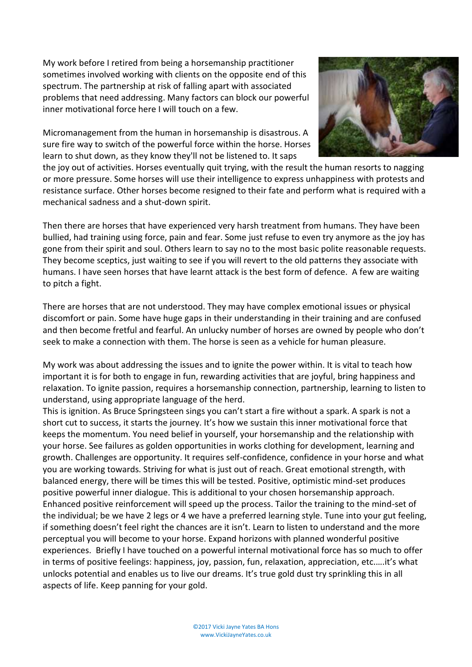My work before I retired from being a horsemanship practitioner sometimes involved working with clients on the opposite end of this spectrum. The partnership at risk of falling apart with associated problems that need addressing. Many factors can block our powerful inner motivational force here I will touch on a few.

Micromanagement from the human in horsemanship is disastrous. A sure fire way to switch of the powerful force within the horse. Horses learn to shut down, as they know they'll not be listened to. It saps



the joy out of activities. Horses eventually quit trying, with the result the human resorts to nagging or more pressure. Some horses will use their intelligence to express unhappiness with protests and resistance surface. Other horses become resigned to their fate and perform what is required with a mechanical sadness and a shut-down spirit.

Then there are horses that have experienced very harsh treatment from humans. They have been bullied, had training using force, pain and fear. Some just refuse to even try anymore as the joy has gone from their spirit and soul. Others learn to say no to the most basic polite reasonable requests. They become sceptics, just waiting to see if you will revert to the old patterns they associate with humans. I have seen horses that have learnt attack is the best form of defence. A few are waiting to pitch a fight.

There are horses that are not understood. They may have complex emotional issues or physical discomfort or pain. Some have huge gaps in their understanding in their training and are confused and then become fretful and fearful. An unlucky number of horses are owned by people who don't seek to make a connection with them. The horse is seen as a vehicle for human pleasure.

My work was about addressing the issues and to ignite the power within. It is vital to teach how important it is for both to engage in fun, rewarding activities that are joyful, bring happiness and relaxation. To ignite passion, requires a horsemanship connection, partnership, learning to listen to understand, using appropriate language of the herd.

This is ignition. As Bruce Springsteen sings you can't start a fire without a spark. A spark is not a short cut to success, it starts the journey. It's how we sustain this inner motivational force that keeps the momentum. You need belief in yourself, your horsemanship and the relationship with your horse. See failures as golden opportunities in works clothing for development, learning and growth. Challenges are opportunity. It requires self-confidence, confidence in your horse and what you are working towards. Striving for what is just out of reach. Great emotional strength, with balanced energy, there will be times this will be tested. Positive, optimistic mind-set produces positive powerful inner dialogue. This is additional to your chosen horsemanship approach. Enhanced positive reinforcement will speed up the process. Tailor the training to the mind-set of the individual; be we have 2 legs or 4 we have a preferred learning style. Tune into your gut feeling, if something doesn't feel right the chances are it isn't. Learn to listen to understand and the more perceptual you will become to your horse. Expand horizons with planned wonderful positive experiences. Briefly I have touched on a powerful internal motivational force has so much to offer in terms of positive feelings: happiness, joy, passion, fun, relaxation, appreciation, etc.….it's what unlocks potential and enables us to live our dreams. It's true gold dust try sprinkling this in all aspects of life. Keep panning for your gold.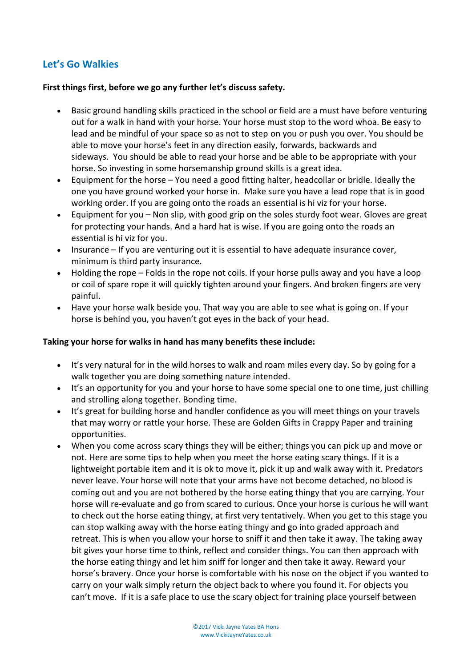# **Let's Go Walkies**

#### **First things first, before we go any further let's discuss safety.**

- Basic ground handling skills practiced in the school or field are a must have before venturing out for a walk in hand with your horse. Your horse must stop to the word whoa. Be easy to lead and be mindful of your space so as not to step on you or push you over. You should be able to move your horse's feet in any direction easily, forwards, backwards and sideways. You should be able to read your horse and be able to be appropriate with your horse. So investing in some horsemanship ground skills is a great idea.
- Equipment for the horse You need a good fitting halter, headcollar or bridle. Ideally the one you have ground worked your horse in. Make sure you have a lead rope that is in good working order. If you are going onto the roads an essential is hi viz for your horse.
- Equipment for you Non slip, with good grip on the soles sturdy foot wear. Gloves are great for protecting your hands. And a hard hat is wise. If you are going onto the roads an essential is hi viz for you.
- Insurance If you are venturing out it is essential to have adequate insurance cover, minimum is third party insurance.
- Holding the rope Folds in the rope not coils. If your horse pulls away and you have a loop or coil of spare rope it will quickly tighten around your fingers. And broken fingers are very painful.
- Have your horse walk beside you. That way you are able to see what is going on. If your horse is behind you, you haven't got eyes in the back of your head.

#### **Taking your horse for walks in hand has many benefits these include:**

- It's very natural for in the wild horses to walk and roam miles every day. So by going for a walk together you are doing something nature intended.
- It's an opportunity for you and your horse to have some special one to one time, just chilling and strolling along together. Bonding time.
- It's great for building horse and handler confidence as you will meet things on your travels that may worry or rattle your horse. These are [Golden Gifts in Crappy Paper](http://www.vickijayneyates.co.uk/blog/read_165695/golden-gifts-in-crappy-paper.html) and training opportunities.
- When you come across scary things they will be either; things you can pick up and move or not. Here are some tips to help when you meet the horse eating scary things. If it is a lightweight portable item and it is ok to move it, pick it up and walk away with it. Predators never leave. Your horse will note that your arms have not become detached, no blood is coming out and you are not bothered by the horse eating thingy that you are carrying. Your horse will re-evaluate and go from scared to curious. Once your horse is curious he will want to check out the horse eating thingy, at first very tentatively. When you get to this stage you can stop walking away with the horse eating thingy and go into graded approach and retreat. This is when you allow your horse to sniff it and then take it away. The taking away bit gives your horse time to think, reflect and consider things. You can then approach with the horse eating thingy and let him sniff for longer and then take it away. Reward your horse's bravery. Once your horse is comfortable with his nose on the object if you wanted to carry on your walk simply return the object back to where you found it. For objects you can't move. If it is a safe place to use the scary object for training place yourself between